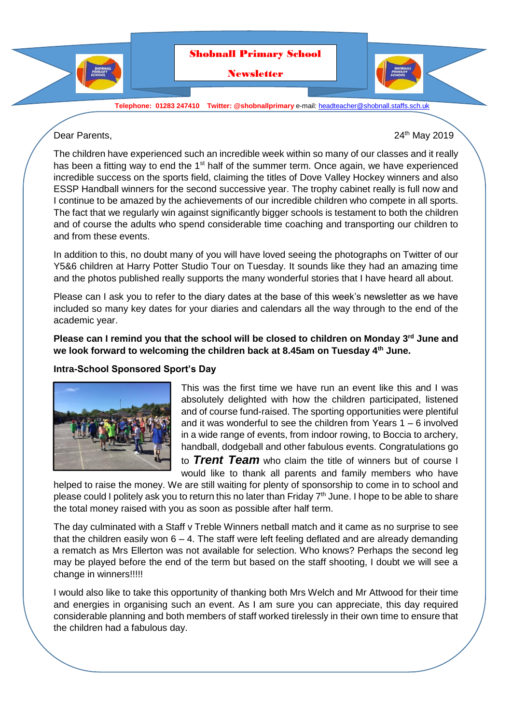

**Telephone: 01283 247410 Twitter: @shobnallprimary** e-mail[: headteacher@shobnall.staffs.sch.uk](mailto:headteacher@shobnall.staffs.sch.uk)

Dear Parents, 2019 and 2019 and 2019 and 2019 and 2019 and 2019 and 2019 and 2019 and 2019 and 2019 and 2019 and 2019 and 2019 and 2019 and 2019 and 2019 and 2019 and 2019 and 2019 and 2019 and 2019 and 2019 and 2019 and 2

The children have experienced such an incredible week within so many of our classes and it really has been a fitting way to end the 1<sup>st</sup> half of the summer term. Once again, we have experienced incredible success on the sports field, claiming the titles of Dove Valley Hockey winners and also ESSP Handball winners for the second successive year. The trophy cabinet really is full now and I continue to be amazed by the achievements of our incredible children who compete in all sports. The fact that we regularly win against significantly bigger schools is testament to both the children and of course the adults who spend considerable time coaching and transporting our children to and from these events.

In addition to this, no doubt many of you will have loved seeing the photographs on Twitter of our Y5&6 children at Harry Potter Studio Tour on Tuesday. It sounds like they had an amazing time and the photos published really supports the many wonderful stories that I have heard all about.

Please can I ask you to refer to the diary dates at the base of this week's newsletter as we have included so many key dates for your diaries and calendars all the way through to the end of the academic year.

**Please can I remind you that the school will be closed to children on Monday 3rd June and we look forward to welcoming the children back at 8.45am on Tuesday 4th June.**

### **Intra-School Sponsored Sport's Day**



This was the first time we have run an event like this and I was absolutely delighted with how the children participated, listened and of course fund-raised. The sporting opportunities were plentiful and it was wonderful to see the children from Years 1 – 6 involved in a wide range of events, from indoor rowing, to Boccia to archery, handball, dodgeball and other fabulous events. Congratulations go

to *Trent Team* who claim the title of winners but of course I would like to thank all parents and family members who have

helped to raise the money. We are still waiting for plenty of sponsorship to come in to school and please could I politely ask you to return this no later than Friday  $7<sup>th</sup>$  June. I hope to be able to share the total money raised with you as soon as possible after half term.

The day culminated with a Staff v Treble Winners netball match and it came as no surprise to see that the children easily won  $6 - 4$ . The staff were left feeling deflated and are already demanding a rematch as Mrs Ellerton was not available for selection. Who knows? Perhaps the second leg may be played before the end of the term but based on the staff shooting, I doubt we will see a change in winners!!!!!

I would also like to take this opportunity of thanking both Mrs Welch and Mr Attwood for their time and energies in organising such an event. As I am sure you can appreciate, this day required considerable planning and both members of staff worked tirelessly in their own time to ensure that the children had a fabulous day.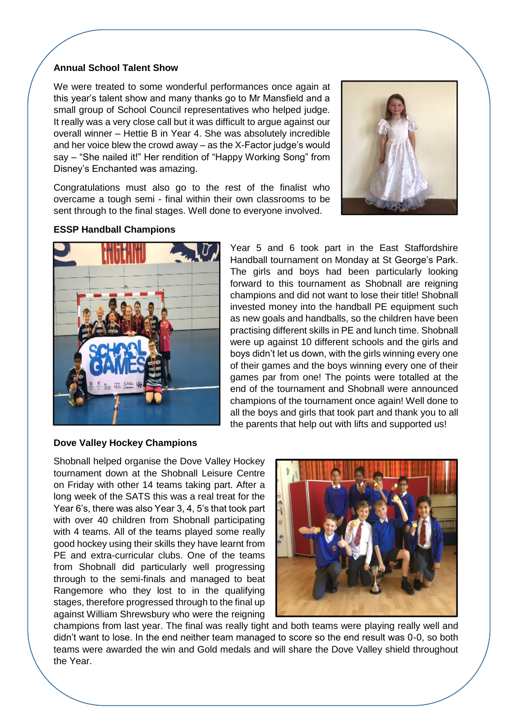# **Annual School Talent Show**

We were treated to some wonderful performances once again at this year's talent show and many thanks go to Mr Mansfield and a small group of School Council representatives who helped judge. It really was a very close call but it was difficult to argue against our overall winner – Hettie B in Year 4. She was absolutely incredible and her voice blew the crowd away – as the X-Factor judge's would say – "She nailed it!" Her rendition of "Happy Working Song" from Disney's Enchanted was amazing.

Congratulations must also go to the rest of the finalist who overcame a tough semi - final within their own classrooms to be sent through to the final stages. Well done to everyone involved.



# **ESSP Handball Champions**



Year 5 and 6 took part in the East Staffordshire Handball tournament on Monday at St George's Park. The girls and boys had been particularly looking forward to this tournament as Shobnall are reigning champions and did not want to lose their title! Shobnall invested money into the handball PE equipment such as new goals and handballs, so the children have been practising different skills in PE and lunch time. Shobnall were up against 10 different schools and the girls and boys didn't let us down, with the girls winning every one of their games and the boys winning every one of their games par from one! The points were totalled at the end of the tournament and Shobnall were announced champions of the tournament once again! Well done to all the boys and girls that took part and thank you to all the parents that help out with lifts and supported us!

### **Dove Valley Hockey Champions**

Shobnall helped organise the Dove Valley Hockey tournament down at the Shobnall Leisure Centre on Friday with other 14 teams taking part. After a long week of the SATS this was a real treat for the Year 6's, there was also Year 3, 4, 5's that took part with over 40 children from Shobnall participating with 4 teams. All of the teams played some really good hockey using their skills they have learnt from PE and extra-curricular clubs. One of the teams from Shobnall did particularly well progressing through to the semi-finals and managed to beat Rangemore who they lost to in the qualifying stages, therefore progressed through to the final up against William Shrewsbury who were the reigning



champions from last year. The final was really tight and both teams were playing really well and didn't want to lose. In the end neither team managed to score so the end result was 0-0, so both teams were awarded the win and Gold medals and will share the Dove Valley shield throughout the Year.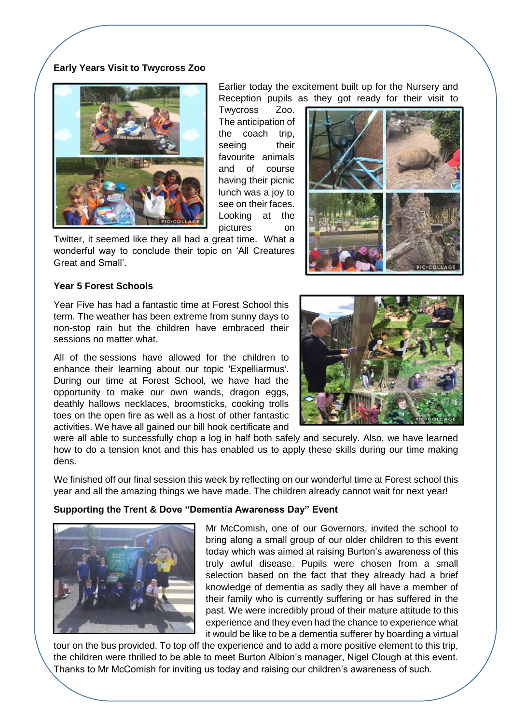# **Early Years Visit to Twycross Zoo**



Earlier today the excitement built up for the Nursery and Reception pupils as they got ready for their visit to

Twycross Zoo. The anticipation of the coach trip, seeing their favourite animals and of course having their picnic lunch was a joy to see on their faces. Looking at the pictures on

Twitter, it seemed like they all had a great time. What a wonderful way to conclude their topic on 'All Creatures Great and Small'.

## **Year 5 Forest Schools**

Year Five has had a fantastic time at Forest School this term. The weather has been extreme from sunny days to non-stop rain but the children have embraced their sessions no matter what.

All of the sessions have allowed for the children to enhance their learning about our topic 'Expelliarmus'. During our time at Forest School, we have had the opportunity to make our own wands, dragon eggs, deathly hallows necklaces, broomsticks, cooking trolls toes on the open fire as well as a host of other fantastic activities. We have all gained our bill hook certificate and



were all able to successfully chop a log in half both safely and securely. Also, we have learned how to do a tension knot and this has enabled us to apply these skills during our time making dens.

We finished off our final session this week by reflecting on our wonderful time at Forest school this year and all the amazing things we have made. The children already cannot wait for next year!

## **Supporting the Trent & Dove "Dementia Awareness Day" Event**



Mr McComish, one of our Governors, invited the school to bring along a small group of our older children to this event today which was aimed at raising Burton's awareness of this truly awful disease. Pupils were chosen from a small selection based on the fact that they already had a brief knowledge of dementia as sadly they all have a member of their family who is currently suffering or has suffered in the past. We were incredibly proud of their mature attitude to this experience and they even had the chance to experience what it would be like to be a dementia sufferer by boarding a virtual

tour on the bus provided. To top off the experience and to add a more positive element to this trip, the children were thrilled to be able to meet Burton Albion's manager, Nigel Clough at this event. Thanks to Mr McComish for inviting us today and raising our children's awareness of such.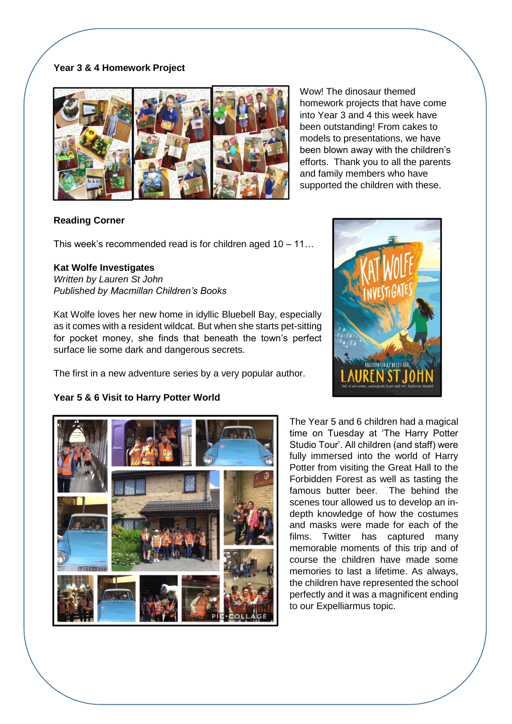# **Year 3 & 4 Homework Project**



Wow! The dinosaur themed homework projects that have come into Year 3 and 4 this week have been outstanding! From cakes to models to presentations, we have been blown away with the children's efforts. Thank you to all the parents and family members who have supported the children with these.

# **Reading Corner**

This week's recommended read is for children aged 10 – 11…

# **Kat Wolfe Investigates**

*Written by Lauren St John Published by Macmillan Children's Books*

Kat Wolfe loves her new home in idyllic Bluebell Bay, especially as it comes with a resident wildcat. But when she starts pet-sitting for pocket money, she finds that beneath the town's perfect surface lie some dark and dangerous secrets.

The first in a new adventure series by a very popular author.

# LSTRATED BY BETOL 61

# **Year 5 & 6 Visit to Harry Potter World**



The Year 5 and 6 children had a magical time on Tuesday at 'The Harry Potter Studio Tour'. All children (and staff) were fully immersed into the world of Harry Potter from visiting the Great Hall to the Forbidden Forest as well as tasting the famous butter beer. The behind the scenes tour allowed us to develop an indepth knowledge of how the costumes and masks were made for each of the films. Twitter has captured many memorable moments of this trip and of course the children have made some memories to last a lifetime. As always, the children have represented the school perfectly and it was a magnificent ending to our Expelliarmus topic.